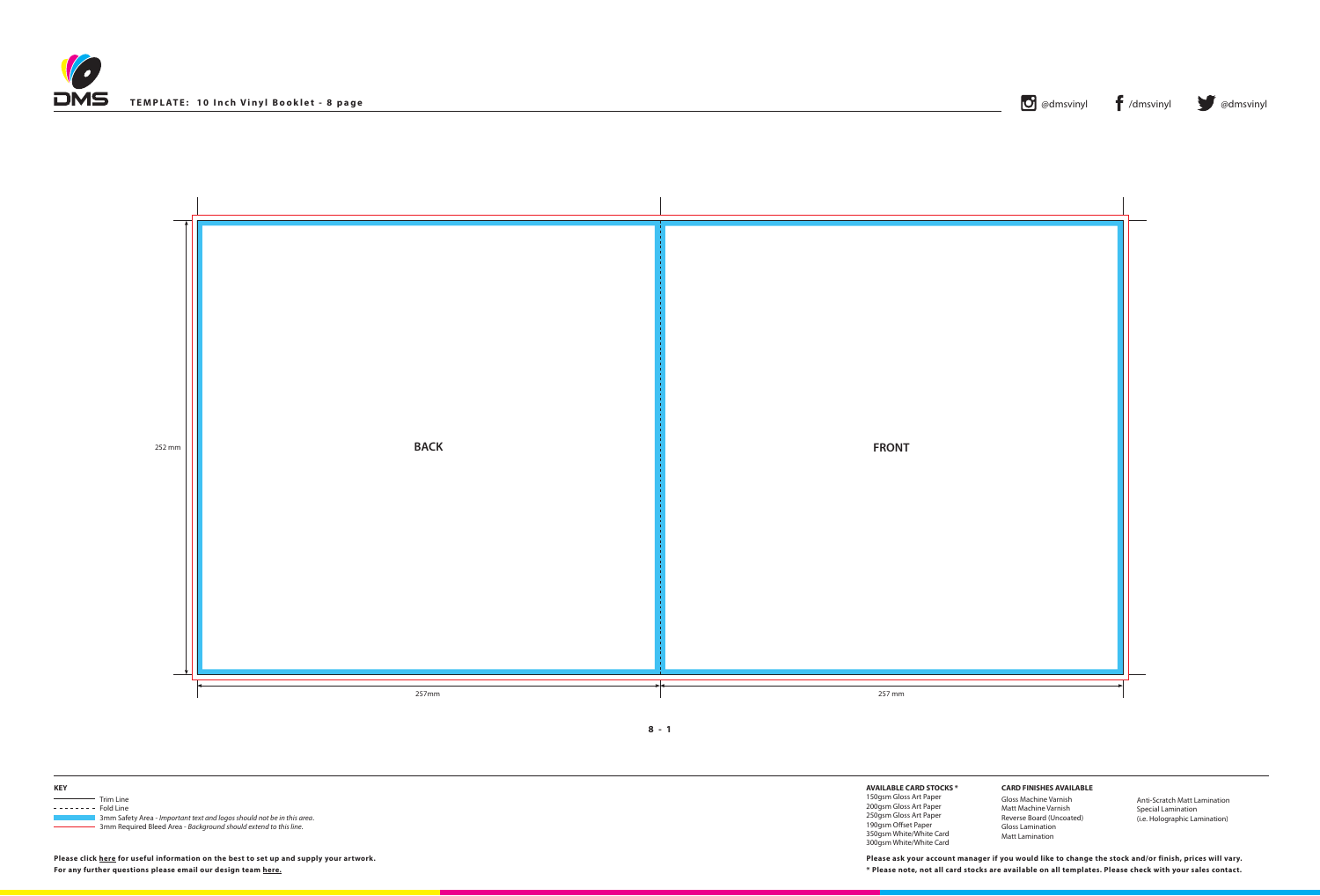**8 - 1**



**Please click [here](http://www.discmanufacturingservices.com/vinyl-templates.htm#artwork-specifications) for useful information on the best to set up and supply your artwork.**

| TEMPLATE: 10 Inch Vinyl Booklet - 8 page | $ {\bf C} $<br>@dmsvinyl | $\blacksquare$ /dmsvinyl | <b>Ordinary Company American</b> |
|------------------------------------------|--------------------------|--------------------------|----------------------------------|
|                                          |                          |                          |                                  |





**AVAILABLE CARD STOCKS \***

150gsm Gloss Art Paper 200gsm Gloss Art Paper 250gsm Gloss Art Paper 190gsm Offset Paper 350gsm White/White Card 300gsm White/White Card

**For any further questions please email our design team [here](mailto:graphics%40discmanufacturingservices.com?subject=Template%20Enquiry). \* Please note, not all card stocks are available on all templates. Please check with your sales contact. Please ask your account manager if you would like to change the stock and/or finish, prices will vary.**





**CARD FINISHES AVAILABLE**

Gloss Machine Varnish Matt Machine Varnish Reverse Board (Uncoated) Gloss Lamination Matt Lamination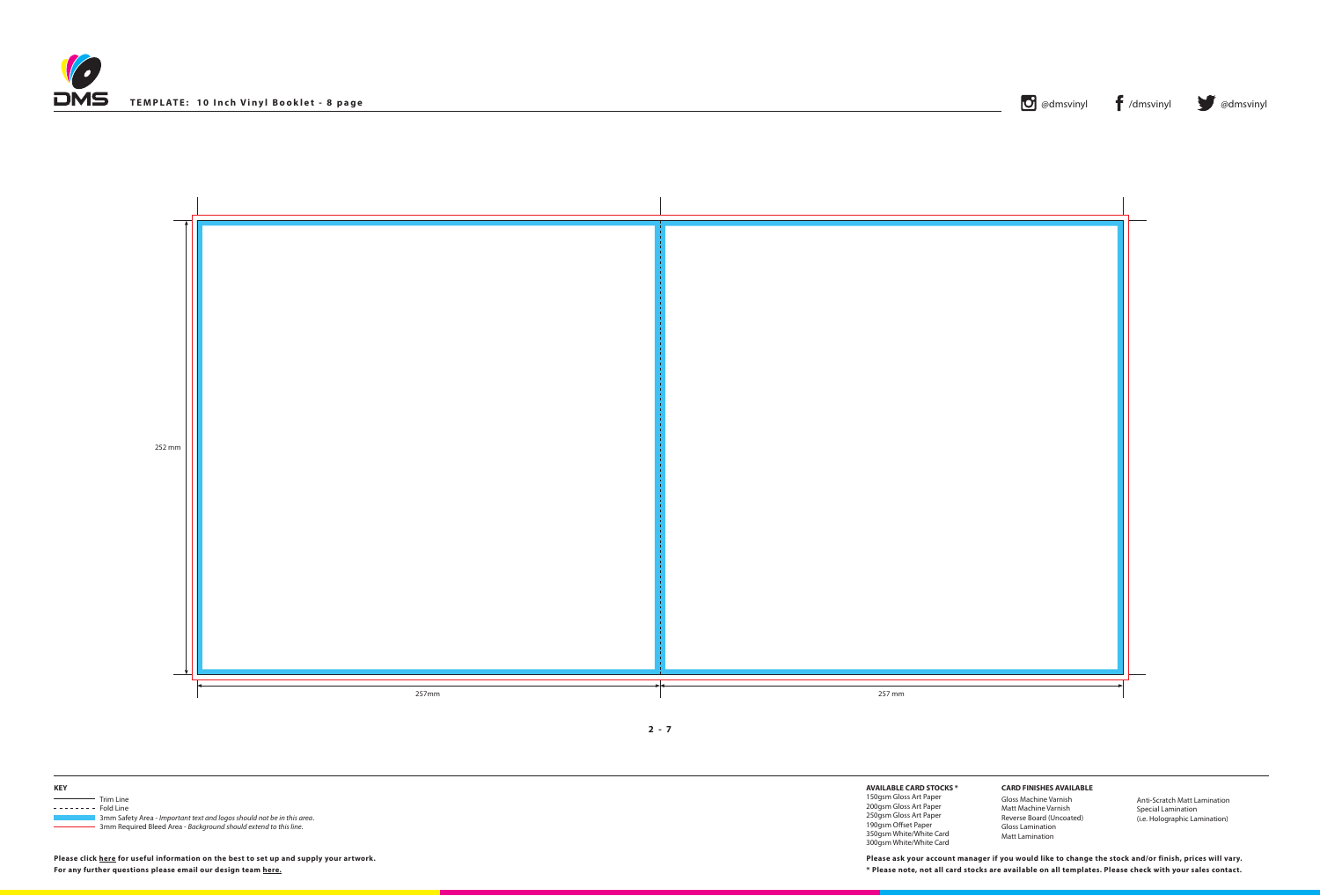





**KEY** Trim Line  $------$  Fold Line 3mm Safety Area - *Important text and logos should not be in this area*. 3mm Required Bleed Area - *Background should extend to this line.*

**Please click [here](http://www.discmanufacturingservices.com/vinyl-templates.htm#artwork-specifications) for useful information on the best to set up and supply your artwork.**

**AVAILABLE CARD STOCKS \*** 150gsm Gloss Art Paper

200gsm Gloss Art Paper 250gsm Gloss Art Paper 190gsm Offset Paper 350gsm White/White Card 300gsm White/White Card

**For any further questions please email our design team [here](mailto:graphics%40discmanufacturingservices.com?subject=Template%20Enquiry). \* Please note, not all card stocks are available on all templates. Please check with your sales contact. Please ask your account manager if you would like to change the stock and/or finish, prices will vary.**



**CARD FINISHES AVAILABLE**

Gloss Machine Varnish Matt Machine Varnish Reverse Board (Uncoated) Gloss Lamination Matt Lamination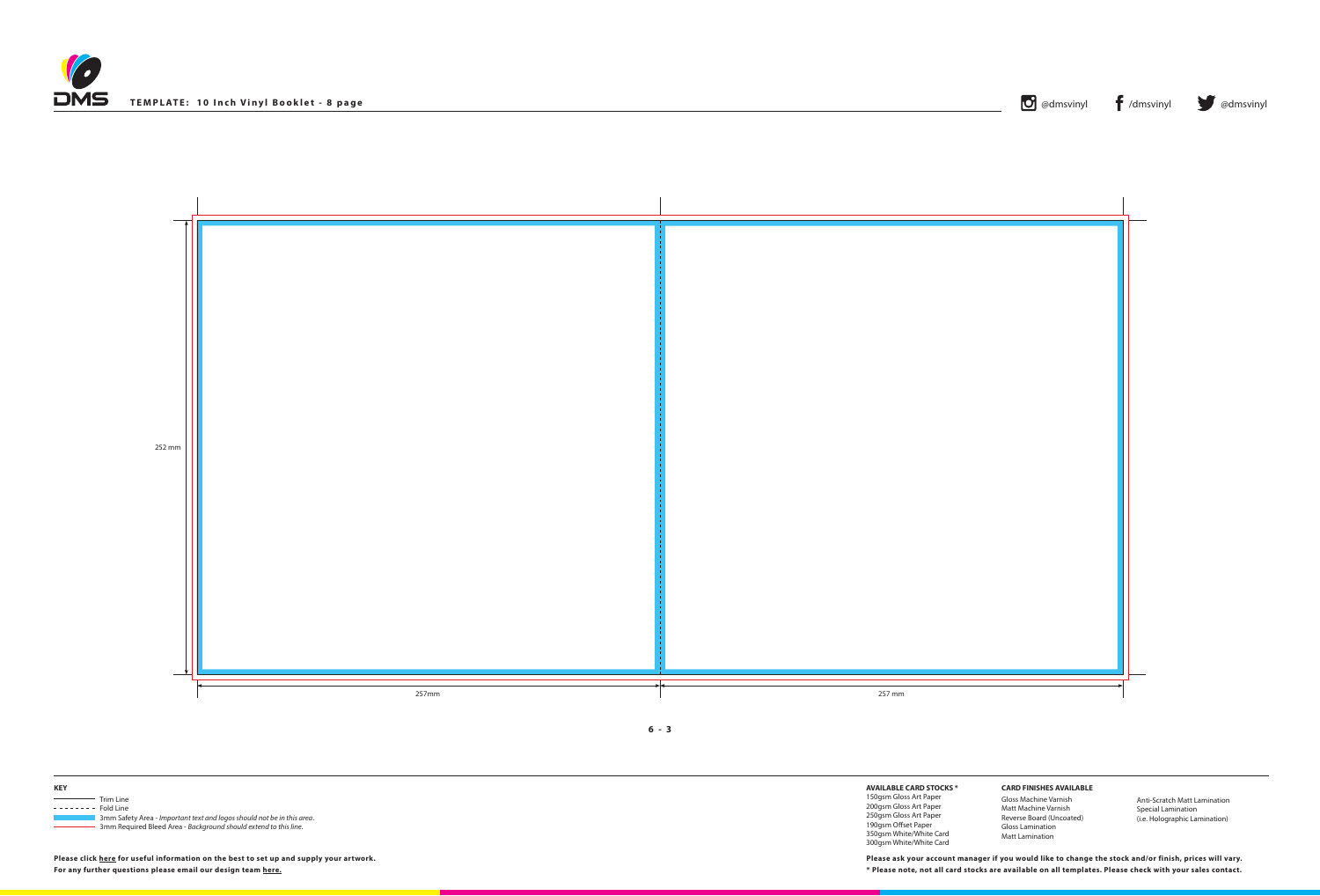





**KEY** Trim Line  $------$  Fold Line 3mm Safety Area - *Important text and logos should not be in this area*. 3mm Required Bleed Area - *Background should extend to this line.*

**Please click [here](http://www.discmanufacturingservices.com/vinyl-templates.htm#artwork-specifications) for useful information on the best to set up and supply your artwork.**

**AVAILABLE CARD STOCKS \***

150gsm Gloss Art Paper 200gsm Gloss Art Paper 250gsm Gloss Art Paper 190gsm Offset Paper 350gsm White/White Card 300gsm White/White Card

**For any further questions please email our design team [here](mailto:graphics%40discmanufacturingservices.com?subject=Template%20Enquiry). \* Please note, not all card stocks are available on all templates. Please check with your sales contact. Please ask your account manager if you would like to change the stock and/or finish, prices will vary.**



**CARD FINISHES AVAILABLE**

Gloss Machine Varnish Matt Machine Varnish Reverse Board (Uncoated) Gloss Lamination Matt Lamination